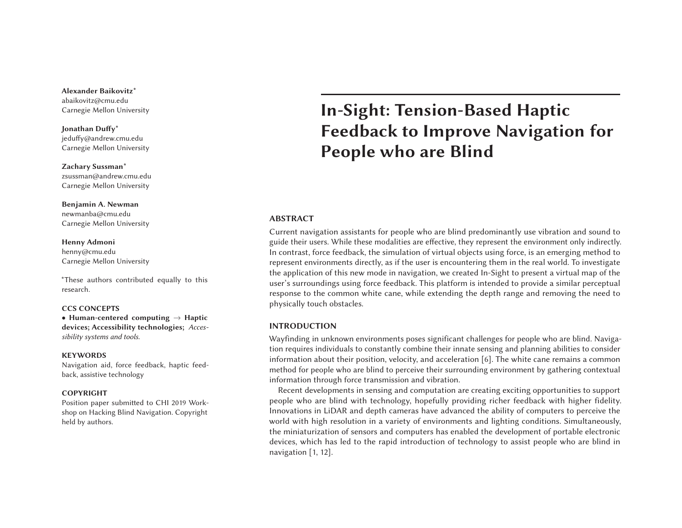**Alexander Baikovitz\***abaikovitz@cmu.edu Carnegie Mellon University

**Jonathan Duffy\*** jeduffy@andrew.cmu.edu Carnegie Mellon University

**Zachary Sussman\*** zsussman@andrew.cmu.edu Carnegie Mellon University

**Benjamin A. Newman** newmanba@cmu.edu Carnegie Mellon University

**Henny Admoni** henny@cmu.edu Carnegie Mellon University

\*These authors contributed equally to this research.

#### **CCS CONCEPTS**

• **Human-centered computing** → **Haptic devices; Accessibility technologies;** *Accessibility systems and tools.*

#### **KEYWORDS**

Navigation aid, force feedback, haptic feedback, assistive technology

#### **COPYRIGHT**

Position paper submitted to CHI <sup>2019</sup> Workshop on Hacking Blind Navigation. Copyright held by authors.

# **In-Sight: Tension-Based Haptic Feedback to Improve Navigation for People who are Blind**

## **ABSTRACT**

Current navigation assistants for people who are blind predominantly use vibration and sound to guide their users. While these modalities are effective, they represen<sup>t</sup> the environment only indirectly. In contrast, force feedback, the simulation of virtual objects using force, is an emerging method to represen<sup>t</sup> environments directly, as if the user is encountering them in the real world. To investigate the application of this new mode in navigation, we created In-Sight to presen<sup>t</sup> <sup>a</sup> virtual map of the user's surroundings using force feedback. This platform is intended to provide <sup>a</sup> similar perceptual response to the common white cane, while extending the depth range and removing the need to physically touch obstacles.

#### **INTRODUCTION**

Wayfinding in unknown environments poses significant challenges for people who are blind. Navigation requires individuals to constantly combine their innate sensing and planning abilities to consider information about their position, velocity, and acceleration [6]. The white cane remains <sup>a</sup> common method for people who are blind to perceive their surrounding environment by gathering contextual information through force transmission and vibration.

Recent developments in sensing and computation are creating exciting opportunities to suppor<sup>t</sup> people who are blind with technology, hopefully providing richer feedback with higher fidelity. Innovations in LiDAR and depth cameras have advanced the ability of computers to perceive the world with high resolution in <sup>a</sup> variety of environments and lighting conditions. Simultaneously, the miniaturization of sensors and computers has enabled the development of portable electronic devices, which has led to the rapid introduction of technology to assist people who are blind in navigation [1, 12].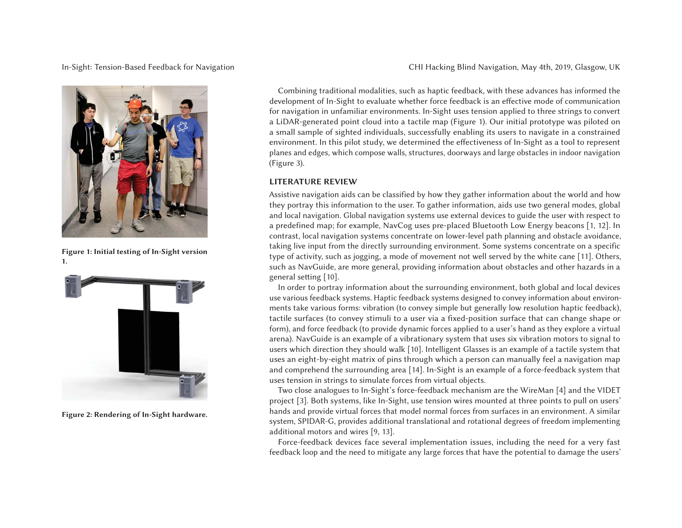In-Sight: Tension-Based Feedback for Navigation CHI Hacking Blind Navigation, May 4th, 2019, Glasgow, UK



**Figure 1: Initial testing of In-Sight version 1.**



**Figure 2: Rendering of In-Sight hardware.**

Combining traditional modalities, such as haptic feedback, with these advances has informed the development of In-Sight to evaluate whether force feedback is an effective mode of communication for navigation in unfamiliar environments. In-Sight uses tension applied to three strings to convert a LiDAR-generated point cloud into <sup>a</sup> tactile map (Figure 1). Our initial prototype was piloted on a small sample of sighted individuals, successfully enabling its users to navigate in <sup>a</sup> constrained environment. In this pilot study, we determined the effectiveness of In-Sight as <sup>a</sup> tool to represen<sup>t</sup> planes and edges, which compose walls, structures, doorways and large obstacles in indoor navigation (Figure 3).

# **LITERATURE REVIEW**

Assistive navigation aids can be classified by how they gather information about the world and how they portray this information to the user. To gather information, aids use two general modes, global and local navigation. Global navigation systems use external devices to guide the user with respec<sup>t</sup> to a predefined map; for example, NavCog uses pre-placed Bluetooth Low Energy beacons [1, 12]. In contrast, local navigation systems concentrate on lower-level path planning and obstacle avoidance, taking live input from the directly surrounding environment. Some systems concentrate on <sup>a</sup> specific type of activity, such as jogging, <sup>a</sup> mode of movement not well served by the white cane [11]. Others, such as NavGuide, are more general, providing information about obstacles and other hazards in <sup>a</sup> general setting [10].

In order to portray information about the surrounding environment, both global and local devices use various feedback systems. Haptic feedback systems designed to convey information about environments take various forms: vibration (to convey simple but generally low resolution haptic feedback), tactile surfaces (to convey stimuli to <sup>a</sup> user via <sup>a</sup> fixed-position surface that can change shape or form), and force feedback (to provide dynamic forces applied to <sup>a</sup> user's hand as they explore <sup>a</sup> virtual arena). NavGuide is an example of <sup>a</sup> vibrationary system that uses six vibration motors to signal to users which direction they should walk [10]. Intelligent Glasses is an example of <sup>a</sup> tactile system that uses an eight-by-eight matrix of pins through which <sup>a</sup> person can manually feel <sup>a</sup> navigation map and comprehend the surrounding area [14]. In-Sight is an example of <sup>a</sup> force-feedback system that uses tension in strings to simulate forces from virtual objects.

Two close analogues to In-Sight's force-feedback mechanism are the WireMan [4] and the VIDET project [3]. Both systems, like In-Sight, use tension wires mounted at three points to pull on users' hands and provide virtual forces that model normal forces from surfaces in an environment. A similar system, SPIDAR-G, provides additional translational and rotational degrees of freedom implementing additional motors and wires [9, 13].

Force-feedback devices face several implementation issues, including the need for <sup>a</sup> very fast feedback loop and the need to mitigate any large forces that have the potential to damage the users'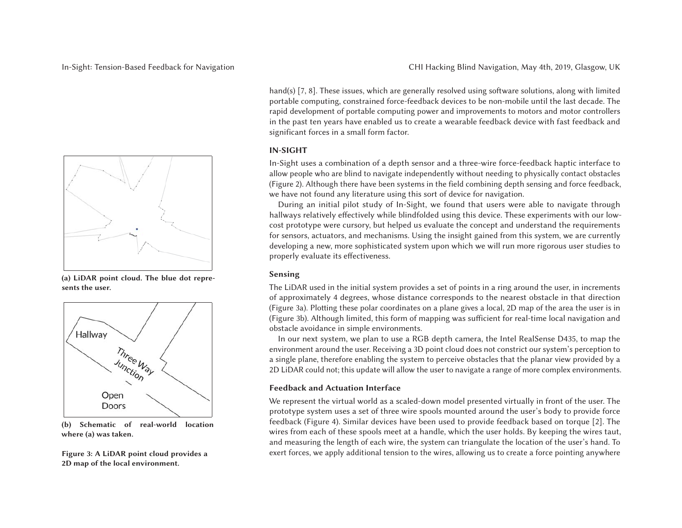

**(a) LiDAR point cloud. The blue dot represents the user.**



**(b) Schematic of real-world location where (a) was taken.**

**Figure 3: A LiDAR point cloud provides <sup>a</sup> 2D map of the local environment.**

hand(s) [7, 8]. These issues, which are generally resolved using software solutions, along with limited portable computing, constrained force-feedback devices to be non-mobile until the last decade. The rapid development of portable computing power and improvements to motors and motor controllers in the pas<sup>t</sup> ten years have enabled us to create <sup>a</sup> wearable feedback device with fast feedback and significant forces in <sup>a</sup> small form factor.

# **IN-SIGHT**

In-Sight uses <sup>a</sup> combination of <sup>a</sup> depth sensor and <sup>a</sup> three-wire force-feedback haptic interface to allow people who are blind to navigate independently without needing to physically contact obstacles (Figure 2). Although there have been systems in the field combining depth sensing and force feedback, we have not found any literature using this sort of device for navigation.

During an initial pilot study of In-Sight, we found that users were able to navigate through hallways relatively effectively while blindfolded using this device. These experiments with our lowcost prototype were cursory, but helped us evaluate the concep<sup>t</sup> and understand the requirements for sensors, actuators, and mechanisms. Using the insight gained from this system, we are currently developing <sup>a</sup> new, more sophisticated system upon which we will run more rigorous user studies to properly evaluate its effectiveness.

# **Sensing**

The LiDAR used in the initial system provides <sup>a</sup> set of points in <sup>a</sup> ring around the user, in increments of approximately <sup>4</sup> degrees, whose distance corresponds to the nearest obstacle in that direction (Figure 3a). Plotting these polar coordinates on <sup>a</sup> plane gives <sup>a</sup> local, 2D map of the area the user is in (Figure 3b). Although limited, this form of mapping was sufficient for real-time local navigation and obstacle avoidance in simple environments.

In our next system, we plan to use <sup>a</sup> RGB depth camera, the Intel RealSense D435, to map the environment around the user. Receiving <sup>a</sup> 3D point cloud does not constrict our system's perception to a single plane, therefore enabling the system to perceive obstacles that the planar view provided by <sup>a</sup> 2D LiDAR could not; this update will allow the user to navigate <sup>a</sup> range of more complex environments.

# **Feedback and Actuation Interface**

We represen<sup>t</sup> the virtual world as <sup>a</sup> scaled-down model presented virtually in front of the user. The prototype system uses <sup>a</sup> set of three wire spools mounted around the user's body to provide force feedback (Figure 4). Similar devices have been used to provide feedback based on torque [2]. The wires from each of these spools meet at <sup>a</sup> handle, which the user holds. By keeping the wires taut, and measuring the length of each wire, the system can triangulate the location of the user's hand. To exert forces, we apply additional tension to the wires, allowing us to create <sup>a</sup> force pointing anywhere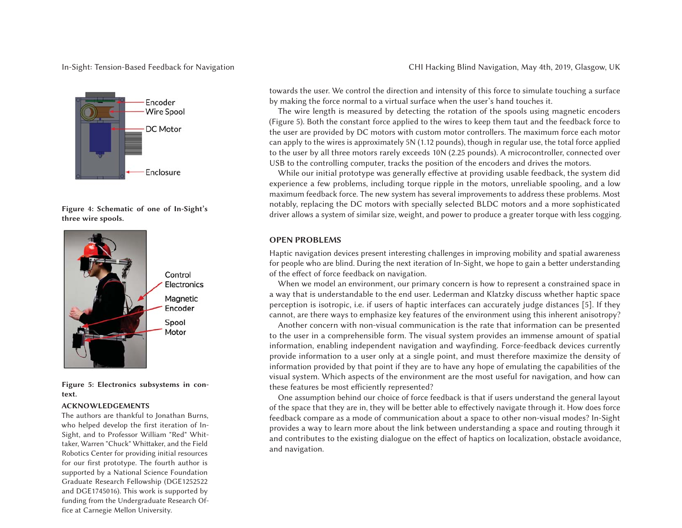# In-Sight: Tension-Based Feedback for Navigation



**Figure 4: Schematic of one of In-Sight's three wire spools.**



**Figure 5: Electronics subsystems in context.**

#### **ACKNOWLEDGEMENTS**

The authors are thankful to Jonathan Burns, who helped develop the first iteration of In-Sight, and to Professor William "Red" Whittaker, Warren "Chuck" Whittaker, and the Field Robotics Center for providing initial resources for our first prototype. The fourth author is supported by <sup>a</sup> National Science Foundation Graduate Research Fellowship (DGE1252522 and DGE1745016). This work is supported by funding from the Undergraduate Research Office at Carnegie Mellon University.

CHI Hacking Blind Navigation, May 4th, 2019, Glasgow, UK

towards the user. We control the direction and intensity of this force to simulate touching <sup>a</sup> surface by making the force normal to <sup>a</sup> virtual surface when the user's hand touches it.

The wire length is measured by detecting the rotation of the spools using magnetic encoders (Figure 5). Both the constant force applied to the wires to keep them taut and the feedback force to the user are provided by DC motors with custom motor controllers. The maximum force each motor can apply to the wires is approximately 5N (1.12 pounds), though in regular use, the total force applied to the user by all three motors rarely exceeds 10N (2.25 pounds). <sup>A</sup> microcontroller, connected over USB to the controlling computer, tracks the position of the encoders and drives the motors.

While our initial prototype was generally effective at providing usable feedback, the system did experience <sup>a</sup> few problems, including torque ripple in the motors, unreliable spooling, and <sup>a</sup> low maximum feedback force. The new system has several improvements to address these problems. Most notably, replacing the DC motors with specially selected BLDC motors and <sup>a</sup> more sophisticated driver allows a system of similar size, weight, and power to produce <sup>a</sup> greater torque with less cogging.

#### **OPEN PROBLEMS**

Haptic navigation devices presen<sup>t</sup> interesting challenges in improving mobility and spatial awareness for people who are blind. During the next iteration of In-Sight, we hope to gain <sup>a</sup> better understanding of the effect of force feedback on navigation.

When we model an environment, our primary concern is how to represen<sup>t</sup> <sup>a</sup> constrained space in a way that is understandable to the end user. Lederman and Klatzky discuss whether haptic space perception is isotropic, i.e. if users of haptic interfaces can accurately judge distances [5]. If they cannot, are there ways to emphasize key features of the environment using this inherent anisotropy?

Another concern with non-visual communication is the rate that information can be presented to the user in <sup>a</sup> comprehensible form. The visual system provides an immense amount of spatial information, enabling independent navigation and wayfinding. Force-feedback devices currently provide information to <sup>a</sup> user only at <sup>a</sup> single point, and must therefore maximize the density of information provided by that point if they are to have any hope of emulating the capabilities of the visual system. Which aspects of the environment are the most useful for navigation, and how can these features be most efficiently represented?

One assumption behind our choice of force feedback is that if users understand the general layout of the space that they are in, they will be better able to effectively navigate through it. How does force feedback compare as <sup>a</sup> mode of communication about <sup>a</sup> space to other non-visual modes? In-Sight provides <sup>a</sup> way to learn more about the link between understanding <sup>a</sup> space and routing through it and contributes to the existing dialogue on the effect of haptics on localization, obstacle avoidance, and navigation.